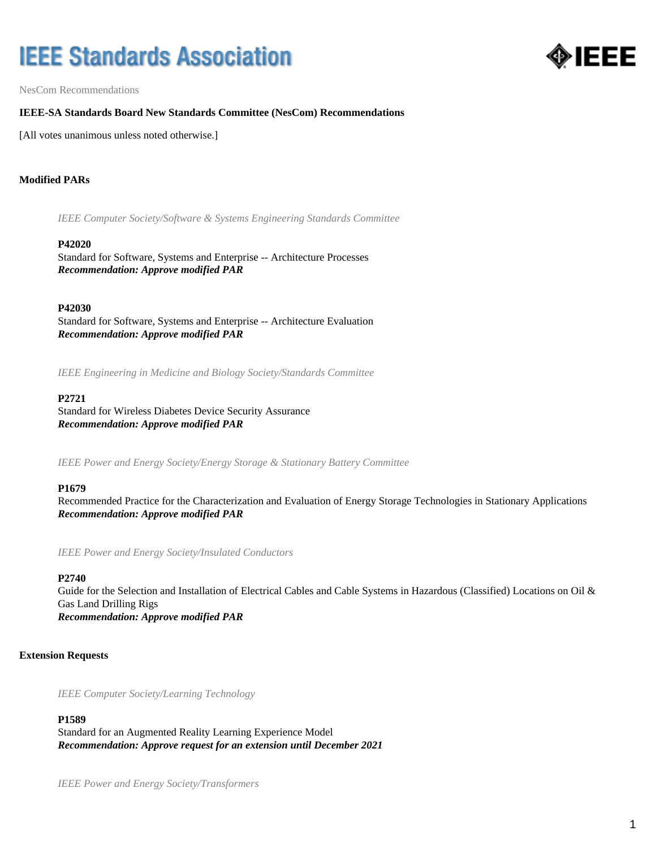# **IEEE Standards Association**



NesCom Recommendations

## **IEEE-SA Standards Board New Standards Committee (NesCom) Recommendations**

[All votes unanimous unless noted otherwise.]

# **Modified PARs**

*IEEE Computer Society/Software & Systems Engineering Standards Committee*

#### **P42020**

Standard for Software, Systems and Enterprise -- Architecture Processes *Recommendation: Approve modified PAR*

### **P42030**

Standard for Software, Systems and Enterprise -- Architecture Evaluation *Recommendation: Approve modified PAR*

*IEEE Engineering in Medicine and Biology Society/Standards Committee*

#### **P2721**

Standard for Wireless Diabetes Device Security Assurance *Recommendation: Approve modified PAR*

*IEEE Power and Energy Society/Energy Storage & Stationary Battery Committee*

#### **P1679**

Recommended Practice for the Characterization and Evaluation of Energy Storage Technologies in Stationary Applications *Recommendation: Approve modified PAR*

*IEEE Power and Energy Society/Insulated Conductors*

#### **P2740**

Guide for the Selection and Installation of Electrical Cables and Cable Systems in Hazardous (Classified) Locations on Oil & Gas Land Drilling Rigs *Recommendation: Approve modified PAR*

## **Extension Requests**

*IEEE Computer Society/Learning Technology*

#### **P1589**

Standard for an Augmented Reality Learning Experience Model *Recommendation: Approve request for an extension until December 2021*

*IEEE Power and Energy Society/Transformers*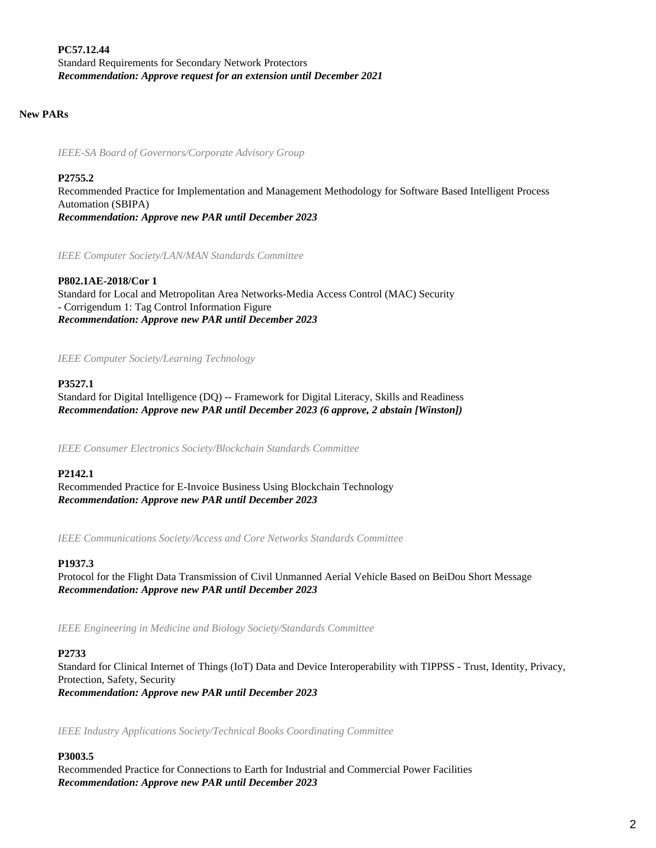**PC57.12.44** Standard Requirements for Secondary Network Protectors *Recommendation: Approve request for an extension until December 2021*

## **New PARs**

*IEEE-SA Board of Governors/Corporate Advisory Group*

### **P2755.2**

Recommended Practice for Implementation and Management Methodology for Software Based Intelligent Process Automation (SBIPA) *Recommendation: Approve new PAR until December 2023*

*IEEE Computer Society/LAN/MAN Standards Committee*

## **P802.1AE-2018/Cor 1**

Standard for Local and Metropolitan Area Networks-Media Access Control (MAC) Security - Corrigendum 1: Tag Control Information Figure *Recommendation: Approve new PAR until December 2023*

*IEEE Computer Society/Learning Technology*

#### **P3527.1**

Standard for Digital Intelligence (DQ) -- Framework for Digital Literacy, Skills and Readiness *Recommendation: Approve new PAR until December 2023 (6 approve, 2 abstain [Winston])*

*IEEE Consumer Electronics Society/Blockchain Standards Committee*

#### **P2142.1**

Recommended Practice for E-Invoice Business Using Blockchain Technology *Recommendation: Approve new PAR until December 2023*

*IEEE Communications Society/Access and Core Networks Standards Committee*

#### **P1937.3**

Protocol for the Flight Data Transmission of Civil Unmanned Aerial Vehicle Based on BeiDou Short Message *Recommendation: Approve new PAR until December 2023*

*IEEE Engineering in Medicine and Biology Society/Standards Committee*

## **P2733**

Standard for Clinical Internet of Things (IoT) Data and Device Interoperability with TIPPSS - Trust, Identity, Privacy, Protection, Safety, Security *Recommendation: Approve new PAR until December 2023*

*IEEE Industry Applications Society/Technical Books Coordinating Committee*

## **P3003.5**

Recommended Practice for Connections to Earth for Industrial and Commercial Power Facilities *Recommendation: Approve new PAR until December 2023*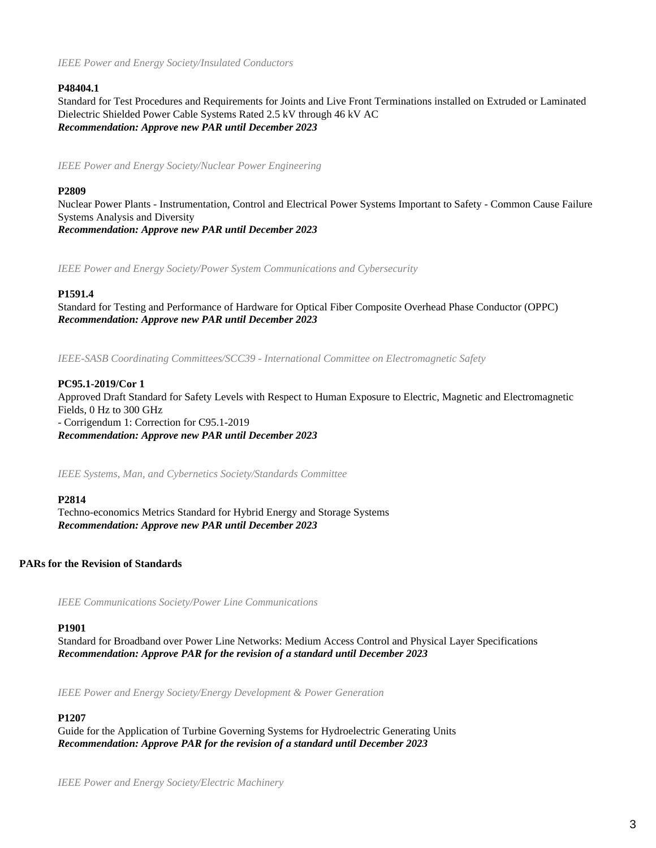*IEEE Power and Energy Society/Insulated Conductors*

# **P48404.1**

Standard for Test Procedures and Requirements for Joints and Live Front Terminations installed on Extruded or Laminated Dielectric Shielded Power Cable Systems Rated 2.5 kV through 46 kV AC *Recommendation: Approve new PAR until December 2023*

*IEEE Power and Energy Society/Nuclear Power Engineering*

# **P2809**

Nuclear Power Plants - Instrumentation, Control and Electrical Power Systems Important to Safety - Common Cause Failure Systems Analysis and Diversity *Recommendation: Approve new PAR until December 2023*

*IEEE Power and Energy Society/Power System Communications and Cybersecurity*

# **P1591.4**

Standard for Testing and Performance of Hardware for Optical Fiber Composite Overhead Phase Conductor (OPPC) *Recommendation: Approve new PAR until December 2023*

*IEEE-SASB Coordinating Committees/SCC39 - International Committee on Electromagnetic Safety*

## **PC95.1-2019/Cor 1**

Approved Draft Standard for Safety Levels with Respect to Human Exposure to Electric, Magnetic and Electromagnetic Fields, 0 Hz to 300 GHz - Corrigendum 1: Correction for C95.1-2019 *Recommendation: Approve new PAR until December 2023*

*IEEE Systems, Man, and Cybernetics Society/Standards Committee*

## **P2814**

Techno-economics Metrics Standard for Hybrid Energy and Storage Systems *Recommendation: Approve new PAR until December 2023*

# **PARs for the Revision of Standards**

*IEEE Communications Society/Power Line Communications*

## **P1901**

Standard for Broadband over Power Line Networks: Medium Access Control and Physical Layer Specifications *Recommendation: Approve PAR for the revision of a standard until December 2023*

*IEEE Power and Energy Society/Energy Development & Power Generation*

## **P1207**

Guide for the Application of Turbine Governing Systems for Hydroelectric Generating Units *Recommendation: Approve PAR for the revision of a standard until December 2023*

*IEEE Power and Energy Society/Electric Machinery*